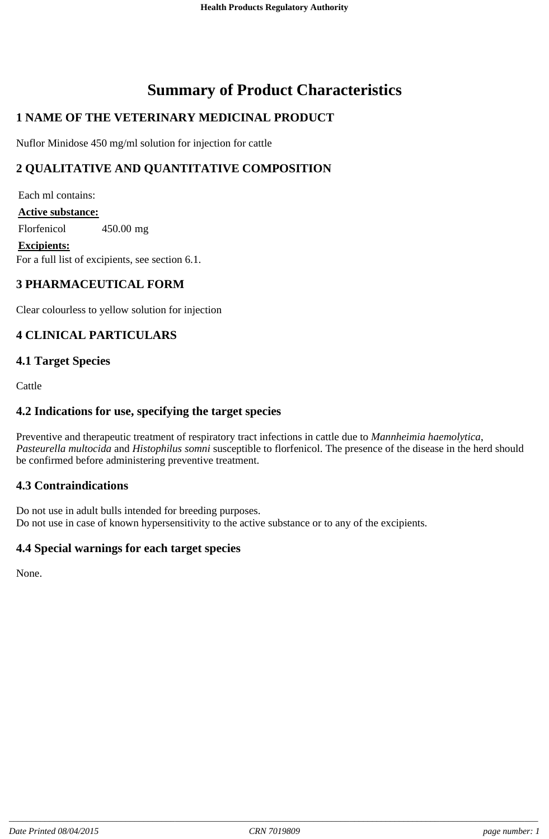# **Summary of Product Characteristics**

# **1 NAME OF THE VETERINARY MEDICINAL PRODUCT**

Nuflor Minidose 450 mg/ml solution for injection for cattle

# **2 QUALITATIVE AND QUANTITATIVE COMPOSITION**

For a full list of excipients, see section 6.1. Each ml contains: **Active substance:** Florfenicol 450.00 mg **Excipients:**

# **3 PHARMACEUTICAL FORM**

Clear colourless to yellow solution for injection

### **4 CLINICAL PARTICULARS**

### **4.1 Target Species**

Cattle

### **4.2 Indications for use, specifying the target species**

Preventive and therapeutic treatment of respiratory tract infections in cattle due to *Mannheimia haemolytica*, *Pasteurella multocida* and *Histophilus somni* susceptible to florfenicol. The presence of the disease in the herd should be confirmed before administering preventive treatment.

### **4.3 Contraindications**

Do not use in adult bulls intended for breeding purposes. Do not use in case of known hypersensitivity to the active substance or to any of the excipients.

### **4.4 Special warnings for each target species**

None.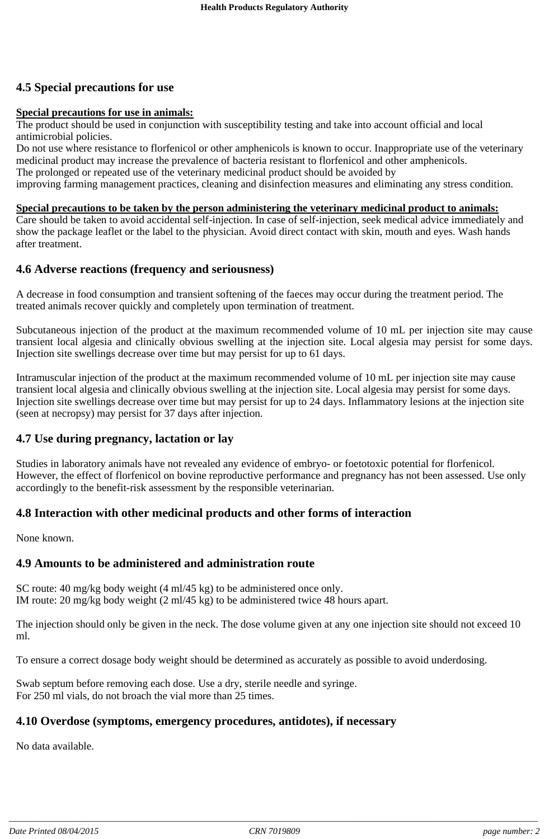# **4.5 Special precautions for use**

#### **Special precautions for use in animals:**

The product should be used in conjunction with susceptibility testing and take into account official and local antimicrobial policies.

Do not use where resistance to florfenicol or other amphenicols is known to occur. Inappropriate use of the veterinary medicinal product may increase the prevalence of bacteria resistant to florfenicol and other amphenicols. The prolonged or repeated use of the veterinary medicinal product should be avoided by

improving farming management practices, cleaning and disinfection measures and eliminating any stress condition.

#### **Special precautions to be taken by the person administering the veterinary medicinal product to animals:**

Care should be taken to avoid accidental self-injection. In case of self-injection, seek medical advice immediately and show the package leaflet or the label to the physician. Avoid direct contact with skin, mouth and eyes. Wash hands after treatment.

#### **4.6 Adverse reactions (frequency and seriousness)**

A decrease in food consumption and transient softening of the faeces may occur during the treatment period. The treated animals recover quickly and completely upon termination of treatment.

Subcutaneous injection of the product at the maximum recommended volume of 10 mL per injection site may cause transient local algesia and clinically obvious swelling at the injection site. Local algesia may persist for some days. Injection site swellings decrease over time but may persist for up to 61 days.

Intramuscular injection of the product at the maximum recommended volume of 10 mL per injection site may cause transient local algesia and clinically obvious swelling at the injection site. Local algesia may persist for some days. Injection site swellings decrease over time but may persist for up to 24 days. Inflammatory lesions at the injection site (seen at necropsy) may persist for 37 days after injection.

### **4.7 Use during pregnancy, lactation or lay**

Studies in laboratory animals have not revealed any evidence of embryo- or foetotoxic potential for florfenicol. However, the effect of florfenicol on bovine reproductive performance and pregnancy has not been assessed. Use only accordingly to the benefit-risk assessment by the responsible veterinarian.

### **4.8 Interaction with other medicinal products and other forms of interaction**

None known.

# **4.9 Amounts to be administered and administration route**

SC route: 40 mg/kg body weight (4 ml/45 kg) to be administered once only. IM route: 20 mg/kg body weight (2 ml/45 kg) to be administered twice 48 hours apart.

The injection should only be given in the neck. The dose volume given at any one injection site should not exceed 10 ml.

To ensure a correct dosage body weight should be determined as accurately as possible to avoid underdosing.

Swab septum before removing each dose. Use a dry, sterile needle and syringe. For 250 ml vials, do not broach the vial more than 25 times.

# **4.10 Overdose (symptoms, emergency procedures, antidotes), if necessary**

No data available.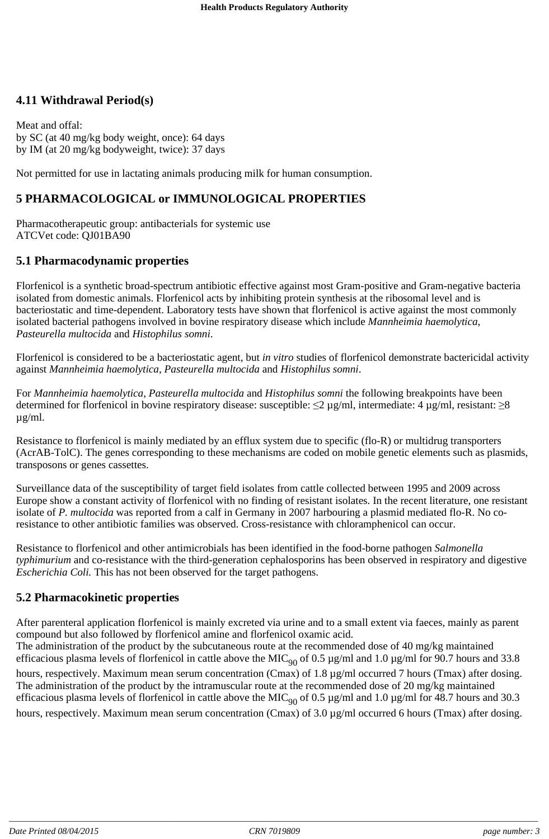# **4.11 Withdrawal Period(s)**

Meat and offal: by SC (at 40 mg/kg body weight, once): 64 days by IM (at 20 mg/kg bodyweight, twice): 37 days

Not permitted for use in lactating animals producing milk for human consumption.

# **5 PHARMACOLOGICAL or IMMUNOLOGICAL PROPERTIES**

Pharmacotherapeutic group: antibacterials for systemic use ATCVet code: QJ01BA90

### **5.1 Pharmacodynamic properties**

Florfenicol is a synthetic broad-spectrum antibiotic effective against most Gram-positive and Gram-negative bacteria isolated from domestic animals. Florfenicol acts by inhibiting protein synthesis at the ribosomal level and is bacteriostatic and time-dependent. Laboratory tests have shown that florfenicol is active against the most commonly isolated bacterial pathogens involved in bovine respiratory disease which include *Mannheimia haemolytica*, *Pasteurella multocida* and *Histophilus somni*.

Florfenicol is considered to be a bacteriostatic agent, but *in vitro* studies of florfenicol demonstrate bactericidal activity against *Mannheimia haemolytica*, *Pasteurella multocida* and *Histophilus somni*.

For *Mannheimia haemolytica*, *Pasteurella multocida* and *Histophilus somni* the following breakpoints have been determined for florfenicol in bovine respiratory disease: susceptible:  $\leq$ 2 µg/ml, intermediate: 4 µg/ml, resistant:  $\geq$ 8 µg/ml.

Resistance to florfenicol is mainly mediated by an efflux system due to specific (flo-R) or multidrug transporters (AcrAB-TolC). The genes corresponding to these mechanisms are coded on mobile genetic elements such as plasmids, transposons or genes cassettes.

Surveillance data of the susceptibility of target field isolates from cattle collected between 1995 and 2009 across Europe show a constant activity of florfenicol with no finding of resistant isolates. In the recent literature, one resistant isolate of *P. multocida* was reported from a calf in Germany in 2007 harbouring a plasmid mediated flo-R. No coresistance to other antibiotic families was observed. Cross-resistance with chloramphenicol can occur.

Resistance to florfenicol and other antimicrobials has been identified in the food-borne pathogen *Salmonella typhimurium* and co-resistance with the third-generation cephalosporins has been observed in respiratory and digestive *Escherichia Coli.* This has not been observed for the target pathogens.

### **5.2 Pharmacokinetic properties**

After parenteral application florfenicol is mainly excreted via urine and to a small extent via faeces, mainly as parent compound but also followed by florfenicol amine and florfenicol oxamic acid.

The administration of the product by the subcutaneous route at the recommended dose of 40 mg/kg maintained efficacious plasma levels of florfenicol in cattle above the MIC<sub>90</sub> of 0.5 µg/ml and 1.0 µg/ml for 90.7 hours and 33.8 hours, respectively. Maximum mean serum concentration (Cmax) of 1.8 µg/ml occurred 7 hours (Tmax) after dosing. The administration of the product by the intramuscular route at the recommended dose of 20 mg/kg maintained efficacious plasma levels of florfenicol in cattle above the MIC<sub>90</sub> of 0.5 µg/ml and 1.0 µg/ml for 48.7 hours and 30.3 hours, respectively. Maximum mean serum concentration (Cmax) of 3.0 µg/ml occurred 6 hours (Tmax) after dosing.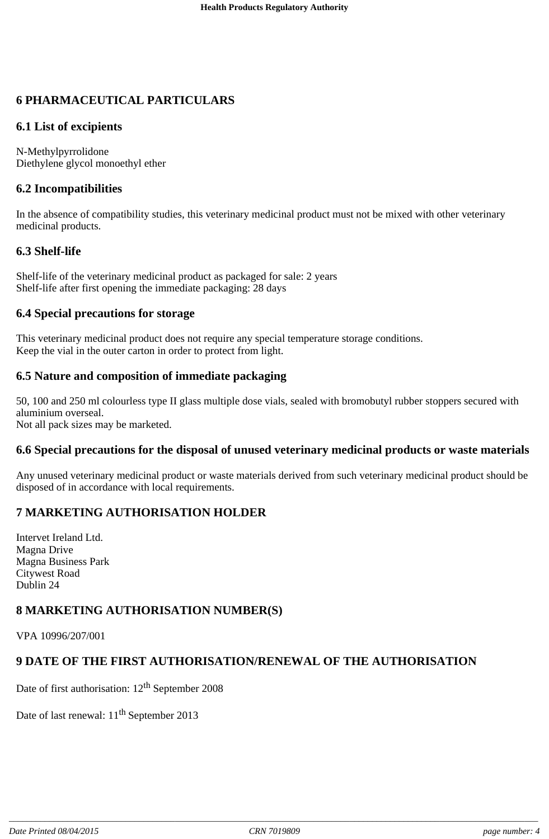# **6 PHARMACEUTICAL PARTICULARS**

### **6.1 List of excipients**

N-Methylpyrrolidone Diethylene glycol monoethyl ether

# **6.2 Incompatibilities**

In the absence of compatibility studies, this veterinary medicinal product must not be mixed with other veterinary medicinal products.

### **6.3 Shelf-life**

Shelf-life of the veterinary medicinal product as packaged for sale: 2 years Shelf-life after first opening the immediate packaging: 28 days

### **6.4 Special precautions for storage**

This veterinary medicinal product does not require any special temperature storage conditions. Keep the vial in the outer carton in order to protect from light.

# **6.5 Nature and composition of immediate packaging**

50, 100 and 250 ml colourless type II glass multiple dose vials, sealed with bromobutyl rubber stoppers secured with aluminium overseal. Not all pack sizes may be marketed.

### **6.6 Special precautions for the disposal of unused veterinary medicinal products or waste materials**

Any unused veterinary medicinal product or waste materials derived from such veterinary medicinal product should be disposed of in accordance with local requirements.

# **7 MARKETING AUTHORISATION HOLDER**

Intervet Ireland Ltd. Magna Drive Magna Business Park Citywest Road Dublin 24

# **8 MARKETING AUTHORISATION NUMBER(S)**

VPA 10996/207/001

# **9 DATE OF THE FIRST AUTHORISATION/RENEWAL OF THE AUTHORISATION**

Date of first authorisation:  $12<sup>th</sup>$  September 2008

Date of last renewal:  $11<sup>th</sup>$  September 2013